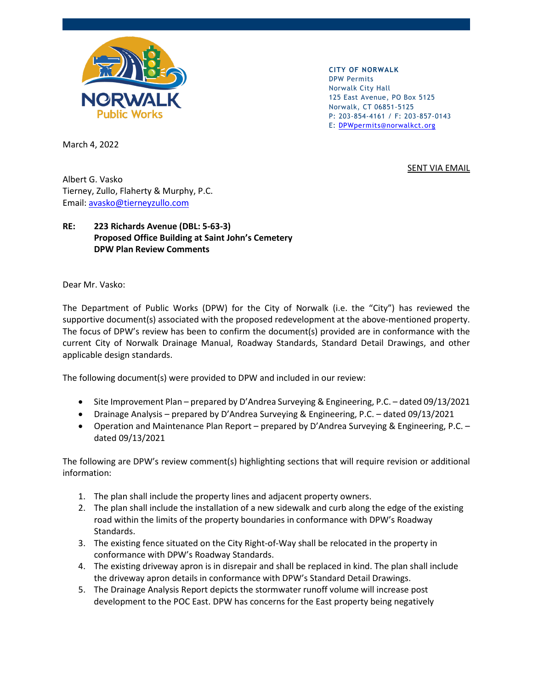

**CITY OF NORWALK** DPW Permits Norwalk City Hall 125 East Avenue, PO Box 5125 Norwalk, CT 06851-5125 P: 203-854-4161 / F: 203-857-0143 E: [DPWpermits@norwalkct.org](mailto:DPWpermits@norwalkct.org)

SENT VIA EMAIL

March 4, 2022

Albert G. Vasko Tierney, Zullo, Flaherty & Murphy, P.C. Email: [avasko@tierneyzullo.com](mailto:avasko@tierneyzullo.com)

## **RE: 223 Richards Avenue (DBL: 5-63-3) Proposed Office Building at Saint John's Cemetery DPW Plan Review Comments**

Dear Mr. Vasko:

The Department of Public Works (DPW) for the City of Norwalk (i.e. the "City") has reviewed the supportive document(s) associated with the proposed redevelopment at the above-mentioned property. The focus of DPW's review has been to confirm the document(s) provided are in conformance with the current City of Norwalk Drainage Manual, Roadway Standards, Standard Detail Drawings, and other applicable design standards.

The following document(s) were provided to DPW and included in our review:

- Site Improvement Plan prepared by D'Andrea Surveying & Engineering, P.C. dated 09/13/2021
- Drainage Analysis prepared by D'Andrea Surveying & Engineering, P.C. dated 09/13/2021
- Operation and Maintenance Plan Report prepared by D'Andrea Surveying & Engineering, P.C. dated 09/13/2021

The following are DPW's review comment(s) highlighting sections that will require revision or additional information:

- 1. The plan shall include the property lines and adjacent property owners.
- 2. The plan shall include the installation of a new sidewalk and curb along the edge of the existing road within the limits of the property boundaries in conformance with DPW's Roadway Standards.
- 3. The existing fence situated on the City Right-of-Way shall be relocated in the property in conformance with DPW's Roadway Standards.
- 4. The existing driveway apron is in disrepair and shall be replaced in kind. The plan shall include the driveway apron details in conformance with DPW's Standard Detail Drawings.
- 5. The Drainage Analysis Report depicts the stormwater runoff volume will increase post development to the POC East. DPW has concerns for the East property being negatively